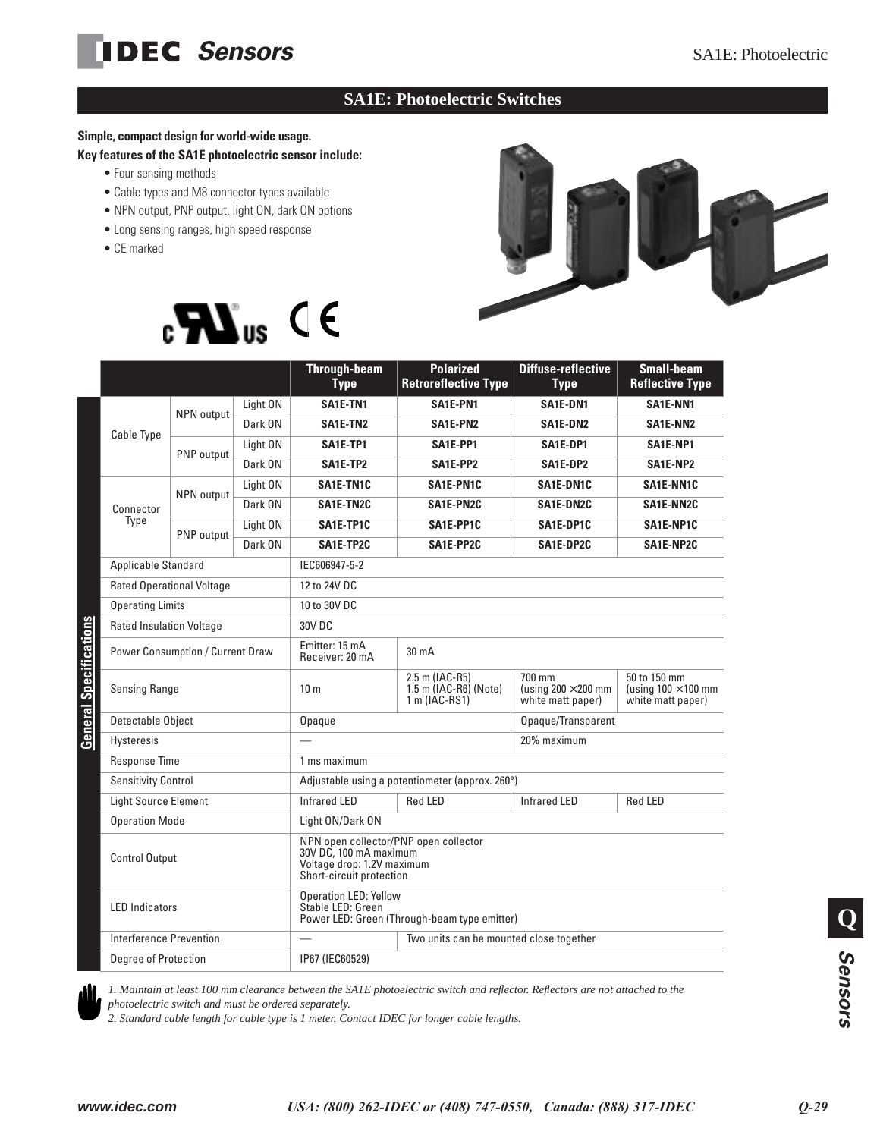# **IDEC** Sensors SA1E: Photoelectric

### **SA1E: Photoelectric Switches**

### **Simple, compact design for world-wide usage.**

**Key features of the SA1E photoelectric sensor include:**

- Four sensing methods
- Cable types and M8 connector types available
- NPN output, PNP output, light ON, dark ON options
- Long sensing ranges, high speed response
- CE marked





|                                                          |                                  |                                                                                                                           | <b>Through-beam</b><br><b>Type</b>                       | <b>Polarized</b><br><b>Retroreflective Type</b>           | Diffuse-reflective<br><b>Type</b>                               | <b>Small-beam</b><br><b>Reflective Type</b> |  |
|----------------------------------------------------------|----------------------------------|---------------------------------------------------------------------------------------------------------------------------|----------------------------------------------------------|-----------------------------------------------------------|-----------------------------------------------------------------|---------------------------------------------|--|
| <b>Cable Type</b>                                        | NPN output                       | Light ON                                                                                                                  | SA1E-TN1                                                 | SA1E-PN1                                                  | SA1E-DN1                                                        | SA1E-NN1                                    |  |
|                                                          |                                  | Dark ON                                                                                                                   | SA1E-TN2                                                 | SA1E-PN2                                                  | SA1E-DN2                                                        | SA1E-NN2                                    |  |
|                                                          | PNP output                       | Light ON                                                                                                                  | SA1E-TP1                                                 | SA1E-PP1                                                  | SA1E-DP1                                                        | SA1E-NP1                                    |  |
|                                                          |                                  | Dark ON                                                                                                                   | SA1E-TP2                                                 | SA1E-PP2                                                  | SA1E-DP2                                                        | SA1E-NP2                                    |  |
|                                                          |                                  | Light ON                                                                                                                  | <b>SA1E-TN1C</b>                                         | SA1E-PN1C                                                 | SA1E-DN1C                                                       | <b>SA1E-NN1C</b>                            |  |
| Connector                                                | NPN output                       | Dark ON                                                                                                                   | SA1E-TN2C                                                | SA1E-PN2C                                                 | SA1E-DN2C                                                       | <b>SA1E-NN2C</b>                            |  |
| Type                                                     | PNP output                       | Light ON                                                                                                                  | SA1E-TP1C                                                | SA1E-PP1C                                                 | SA1E-DP1C                                                       | SA1E-NP1C                                   |  |
|                                                          |                                  | Dark ON                                                                                                                   | SA1E-TP2C                                                | SA1E-PP2C                                                 | SA1E-DP2C                                                       | SA1E-NP2C                                   |  |
| Applicable Standard                                      |                                  |                                                                                                                           | IEC606947-5-2                                            |                                                           |                                                                 |                                             |  |
|                                                          | <b>Rated Operational Voltage</b> |                                                                                                                           | 12 to 24V DC                                             |                                                           |                                                                 |                                             |  |
| <b>Operating Limits</b>                                  |                                  |                                                                                                                           | 10 to 30V DC                                             |                                                           |                                                                 |                                             |  |
| <b>Rated Insulation Voltage</b>                          |                                  |                                                                                                                           | 30V DC                                                   |                                                           |                                                                 |                                             |  |
| diameter<br>S<br><b>Power Consumption / Current Draw</b> |                                  |                                                                                                                           | Emitter: 15 mA<br>Receiver: 20 mA                        | $30 \text{ mA}$                                           |                                                                 |                                             |  |
| <b>Sensing Range</b>                                     |                                  | 10 <sub>m</sub>                                                                                                           | 2.5 m (IAC-R5)<br>1.5 m (IAC-R6) (Note)<br>1 m (IAC-RS1) | 700 mm<br>(using $200 \times 200$ mm<br>white matt paper) | 50 to 150 mm<br>(using $100 \times 100$ mm<br>white matt paper) |                                             |  |
| Detectable Object                                        |                                  |                                                                                                                           | Opaque                                                   |                                                           | Opaque/Transparent                                              |                                             |  |
| <b>Hysteresis</b>                                        |                                  |                                                                                                                           | 20% maximum                                              |                                                           |                                                                 |                                             |  |
| Response Time                                            |                                  |                                                                                                                           | 1 ms maximum                                             |                                                           |                                                                 |                                             |  |
| <b>Sensitivity Control</b>                               |                                  |                                                                                                                           | Adjustable using a potentiometer (approx. 260°)          |                                                           |                                                                 |                                             |  |
| <b>Light Source Element</b>                              |                                  |                                                                                                                           | <b>Infrared LED</b>                                      | <b>Red LED</b>                                            | <b>Infrared LED</b>                                             | <b>Red LED</b>                              |  |
| <b>Operation Mode</b>                                    |                                  |                                                                                                                           | Light ON/Dark ON                                         |                                                           |                                                                 |                                             |  |
| <b>Control Output</b>                                    |                                  | NPN open collector/PNP open collector<br>30V DC, 100 mA maximum<br>Voltage drop: 1.2V maximum<br>Short-circuit protection |                                                          |                                                           |                                                                 |                                             |  |
| <b>LED</b> Indicators                                    |                                  | <b>Operation LED: Yellow</b><br>Stable LED: Green<br>Power LED: Green (Through-beam type emitter)                         |                                                          |                                                           |                                                                 |                                             |  |
| Interference Prevention                                  |                                  |                                                                                                                           |                                                          | Two units can be mounted close together                   |                                                                 |                                             |  |
| Degree of Protection                                     |                                  |                                                                                                                           | IP67 (IEC60529)                                          |                                                           |                                                                 |                                             |  |



*1. Maintain at least 100 mm clearance between the SA1E photoelectric switch and reflector. Reflectors are not attached to the photoelectric switch and must be ordered separately.*

*2. Standard cable length for cable type is 1 meter. Contact IDEC for longer cable lengths.*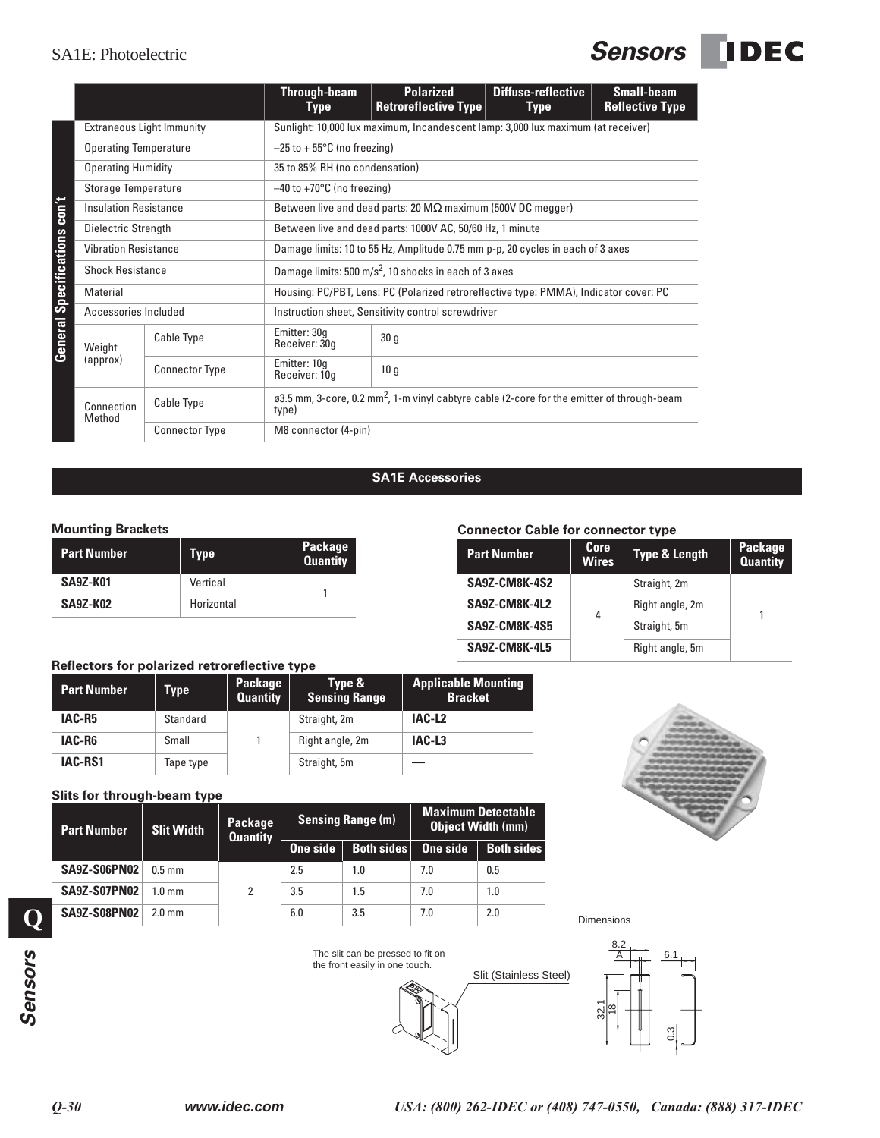### SA1E: Photoelectric **Sensors DEC**

|                                     |                                    |                                               |                            | <b>Through-beam</b><br><b>Type</b>                                               | <b>Polarized</b><br><b>Retroreflective Type</b>                                                        | <b>Diffuse-reflective</b><br><b>Type</b>  |                      | <b>Small-beam</b><br><b>Reflective Type</b> |  |
|-------------------------------------|------------------------------------|-----------------------------------------------|----------------------------|----------------------------------------------------------------------------------|--------------------------------------------------------------------------------------------------------|-------------------------------------------|----------------------|---------------------------------------------|--|
|                                     | <b>Extraneous Light Immunity</b>   |                                               |                            | Sunlight: 10,000 lux maximum, Incandescent lamp: 3,000 lux maximum (at receiver) |                                                                                                        |                                           |                      |                                             |  |
|                                     | <b>Operating Temperature</b>       |                                               |                            | $-25$ to + 55 $\degree$ C (no freezing)                                          |                                                                                                        |                                           |                      |                                             |  |
|                                     | <b>Operating Humidity</b>          |                                               |                            | 35 to 85% RH (no condensation)                                                   |                                                                                                        |                                           |                      |                                             |  |
|                                     | <b>Storage Temperature</b>         |                                               |                            | $-40$ to +70 $^{\circ}$ C (no freezing)                                          |                                                                                                        |                                           |                      |                                             |  |
|                                     | <b>Insulation Resistance</b>       |                                               |                            | Between live and dead parts: 20 $M\Omega$ maximum (500V DC megger)               |                                                                                                        |                                           |                      |                                             |  |
|                                     | Dielectric Strength                |                                               |                            | Between live and dead parts: 1000V AC, 50/60 Hz, 1 minute                        |                                                                                                        |                                           |                      |                                             |  |
|                                     | <b>Vibration Resistance</b>        |                                               |                            |                                                                                  | Damage limits: 10 to 55 Hz, Amplitude 0.75 mm p-p, 20 cycles in each of 3 axes                         |                                           |                      |                                             |  |
|                                     | <b>Shock Resistance</b>            |                                               |                            |                                                                                  | Damage limits: 500 m/s <sup>2</sup> , 10 shocks in each of 3 axes                                      |                                           |                      |                                             |  |
|                                     | Material                           |                                               |                            |                                                                                  | Housing: PC/PBT, Lens: PC (Polarized retroreflective type: PMMA), Indicator cover: PC                  |                                           |                      |                                             |  |
|                                     | Accessories Included               |                                               |                            |                                                                                  | Instruction sheet, Sensitivity control screwdriver                                                     |                                           |                      |                                             |  |
| <b>General Specifications con't</b> | Weight                             | Cable Type                                    |                            | Emitter: 30g<br>Receiver: 30g                                                    | 30 <sub>q</sub>                                                                                        |                                           |                      |                                             |  |
|                                     | (approx)                           | <b>Connector Type</b>                         |                            | Emitter: 10g<br>Receiver: 10q                                                    | 10 <sub>q</sub>                                                                                        |                                           |                      |                                             |  |
|                                     | Cable Type<br>Connection<br>Method |                                               | type)                      |                                                                                  | ø3.5 mm, 3-core, 0.2 mm <sup>2</sup> , 1-m vinyl cabtyre cable (2-core for the emitter of through-beam |                                           |                      |                                             |  |
|                                     |                                    | <b>Connector Type</b>                         |                            | M8 connector (4-pin)                                                             |                                                                                                        |                                           |                      |                                             |  |
|                                     | <b>Mounting Brackets</b>           |                                               |                            |                                                                                  | <b>SA1E Accessories</b>                                                                                | <b>Connector Cable for connector type</b> |                      |                                             |  |
|                                     | <b>Part Number</b>                 | <b>Type</b>                                   |                            | Package<br><b>Quantity</b>                                                       |                                                                                                        | <b>Part Number</b>                        | Core<br><b>Wires</b> | <b>Type &amp; Leng</b>                      |  |
|                                     | <b>SA9Z-K01</b>                    | Vertical                                      |                            |                                                                                  |                                                                                                        | <b>SA9Z-CM8K-4S2</b>                      |                      | Straight, 2m                                |  |
|                                     | <b>SA9Z-K02</b>                    | Horizontal                                    |                            | 1                                                                                |                                                                                                        | SA9Z-CM8K-4L2                             |                      | Right angle, 2r                             |  |
|                                     |                                    |                                               |                            |                                                                                  |                                                                                                        | <b>SA9Z-CM8K-4S5</b>                      | 4                    | Straight, 5m                                |  |
|                                     |                                    |                                               |                            |                                                                                  |                                                                                                        | <b>SA9Z-CM8K-4L5</b>                      |                      | Right angle, 5r                             |  |
|                                     |                                    | Reflectors for polarized retroreflective type |                            |                                                                                  |                                                                                                        |                                           |                      |                                             |  |
|                                     | <b>Part Number</b>                 | <b>Type</b>                                   | Package<br><b>Quantity</b> | Type &<br><b>Sensing Range</b>                                                   | <b>Applicable Mounting</b><br><b>Bracket</b>                                                           |                                           |                      |                                             |  |
|                                     | IAC-R5                             | Standard                                      |                            | Straight, 2m                                                                     | IAC-L <sub>2</sub>                                                                                     |                                           |                      |                                             |  |
|                                     | IAC-R6                             | Small                                         | 1                          | Right angle, 2m                                                                  | IAC-L3                                                                                                 |                                           |                      |                                             |  |
|                                     | IAC-RS1                            | Tape type                                     |                            | Straight, 5m                                                                     |                                                                                                        |                                           |                      |                                             |  |
|                                     |                                    | Slits for through-beam type                   |                            |                                                                                  |                                                                                                        |                                           |                      |                                             |  |

### **SA1E Accessories**

#### **Mounting Brackets**

| <b>Part Number</b> | Type       | Package<br><b>Quantity</b> |
|--------------------|------------|----------------------------|
| <b>SA9Z-K01</b>    | Vertical   |                            |
| <b>SA9Z-K02</b>    | Horizontal |                            |

### **Connector Cable for connector type**

| <b>Part Number</b>   | Core<br><b>Wires</b> | <b>Type &amp; Length</b> | <b>Package</b><br><b>Quantity</b> |  |
|----------------------|----------------------|--------------------------|-----------------------------------|--|
| SA9Z-CM8K-4S2        |                      | Straight, 2m             |                                   |  |
| SA9Z-CM8K-4L2        | 4                    | Right angle, 2m          | 1                                 |  |
| SA9Z-CM8K-4S5        |                      | Straight, 5m             |                                   |  |
| <b>SA9Z-CM8K-4L5</b> |                      | Right angle, 5m          |                                   |  |

### **Reflectors for polarized retroreflective type**

| <b>Part Number</b> | Type      | Package<br><b>Quantity</b> | Type &<br><b>Sensing Range</b> | <b>Applicable Mounting</b><br><b>Bracket</b> |
|--------------------|-----------|----------------------------|--------------------------------|----------------------------------------------|
| IAC-R5             | Standard  |                            | Straight, 2m                   | IAC-L <sub>2</sub>                           |
| IAC-R6             | Small     |                            | Right angle, 2m                | IAC-L3                                       |
| <b>IAC-RS1</b>     | Tape type |                            | Straight, 5m                   |                                              |

| <b>Part Number</b>  | <b>Slit Width</b> | Package<br><b>Quantity</b> | <b>Sensing Range (m)</b> |                   | <b>Maximum Detectable</b><br><b>Object Width (mm)</b> |                   |
|---------------------|-------------------|----------------------------|--------------------------|-------------------|-------------------------------------------------------|-------------------|
|                     |                   |                            | One side                 | <b>Both sides</b> | One side                                              | <b>Both sides</b> |
| <b>SA9Z-S06PN02</b> | $0.5$ mm          | 2                          | 2.5                      | 1.0               | 7.0                                                   | 0.5               |
| <b>SA9Z-S07PN02</b> | $1.0 \text{ mm}$  |                            | 3.5                      | 1.5               | 7.0                                                   | 1.0               |
| <b>SA9Z-S08PN02</b> | $2.0 \text{ mm}$  |                            | 6.0                      | 3.5               | 7.0                                                   | 2.0               |



Dimensions



**Q**



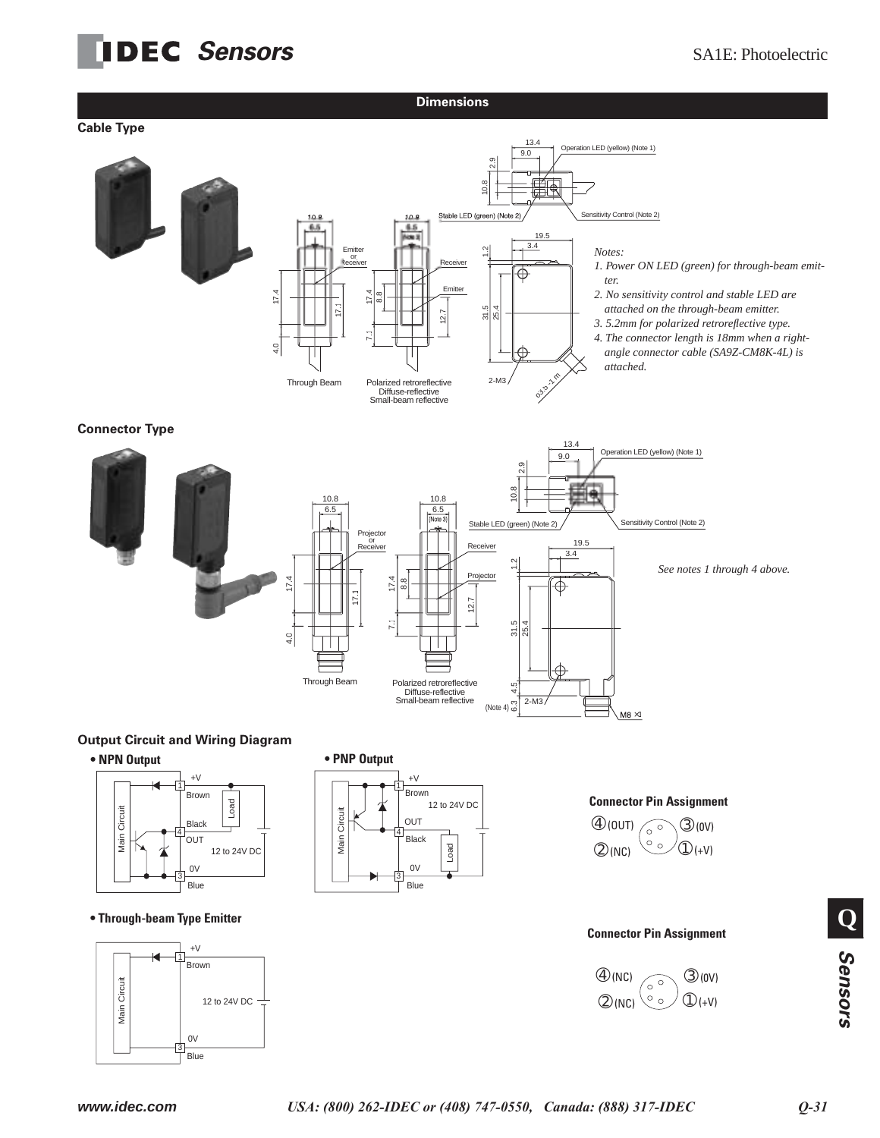## **IDEC** Sensors SA1E: Photoelectric

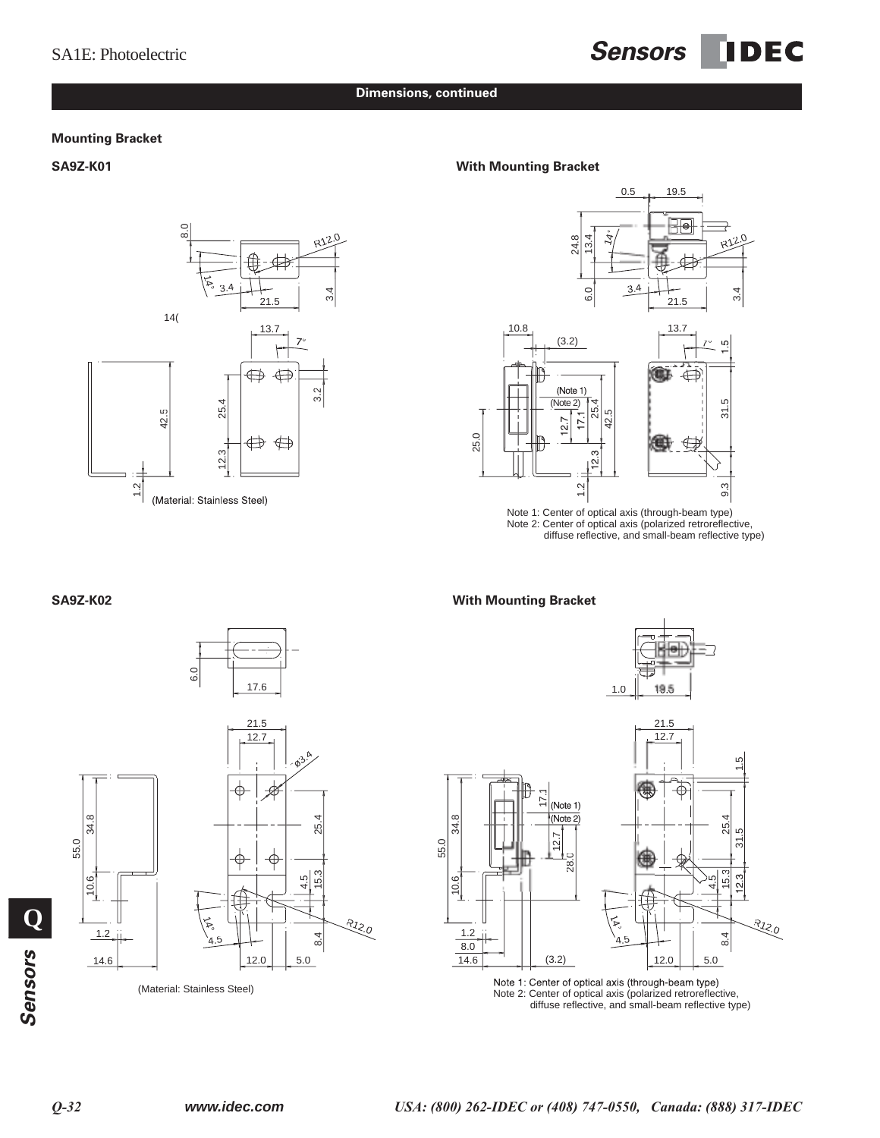## SA1E: Photoelectric **Sensors IDEC**

#### **Dimensions, continued**

#### **Mounting Bracket**



#### **SA9Z-K01 With Mounting Bracket**



Note 1: Center of optical axis (through-beam type) Note 2: Center of optical axis (polarized retroreflective, diffuse reflective, and small-beam reflective type)

#### **SA9Z-K02 With Mounting Bracket**







(Material: Stainless Steel) (Material: Stainless Steel) Note 1: Center of optical axis (through-beam type)<br>Note 2: Center of optical axis (polarized retroreflective, diffuse reflective, and small-beam reflective type)

14.6

 $12.0$  5.0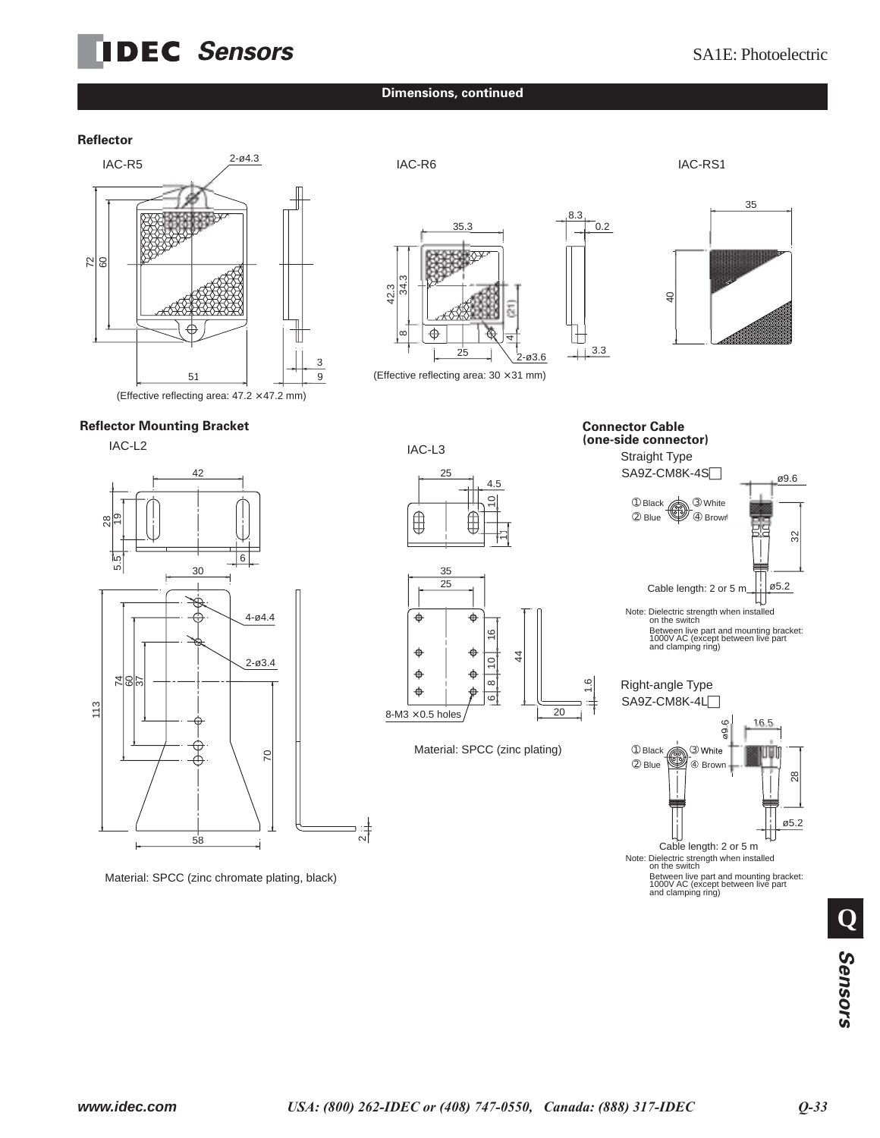## **IDEC** Sensors SA1E: Photoelectric

#### **Dimensions, continued**

 $\overline{3}$ 42.3

 $^{\circ}$ 

 $\sim$ 

#### **Reflector**



#### **Reflector Mounting Bracket**



Material: SPCC (zinc chromate plating, black)

IAC-L3  $25$ 4.5  $\overline{1}$  $\bigoplus$  $\frac{1}{2}$ 

25

(Effective reflecting area: 30 × 31 mm)



Material: SPCC (zinc plating)



Straight Type **Connector Cable (one-side connector)**

 $-4+3.3$ 

lTI

8.3

 $35.3$  0.2

4





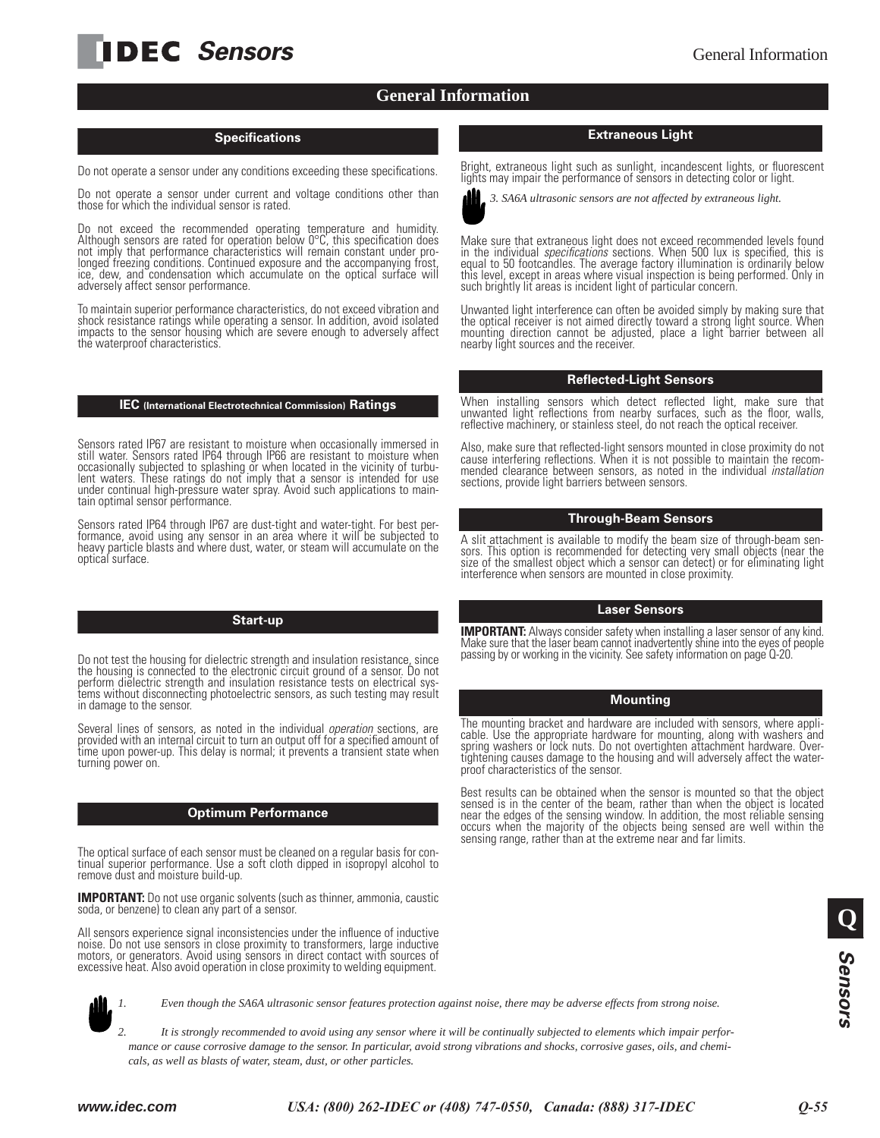## **IDEC** Sensors General Information

#### **General Information**

#### **Specifications**

Do not operate a sensor under any conditions exceeding these specifications.

Do not operate a sensor under current and voltage conditions other than those for which the individual sensor is rated.

Do not exceed the recommended operating temperature and humidity. Although sensors are rated for operation below 0°C, this specification does not imply that performance characteristics will remain constant under prolonged freezing conditions. Continued exposure and the accompanying frost, ice, dew, and condensation which accumulate on the optical surface will adversely affect sensor performance.

To maintain superior performance characteristics, do not exceed vibration and shock resistance ratings while operating a sensor. In addition, avoid isolated impacts to the sensor housing which are severe enough to adversely affect the waterproof characteristics.

#### **IEC (International Electrotechnical Commission) Ratings**

Sensors rated IP67 are resistant to moisture when occasionally immersed in still water. Sensors rated IP64 through IP66 are resistant to moisture when occasionally subjected to splashing or when located in the vicinity of turbulent waters. These ratings do not imply that a sensor is intended for use under continual high-pressure water spray. Avoid such applications to maintain optimal sensor performance.

Sensors rated IP64 through IP67 are dust-tight and water-tight. For best performance, avoid using any sensor in an area where it will be subjected to heavy particle blasts and where dust, water, or steam will accumulate on the optical surface.

#### **Start-up**

Do not test the housing for dielectric strength and insulation resistance, since the housing is connected to the electronic circuit ground of a sensor. Do not perform dielectric strength and insulation resistance tests on electrical systems without disconnecting photoelectric sensors, as such testing may result in damage to the sensor.

Several lines of sensors, as noted in the individual *operation* sections, are provided with an internal circuit to turn an output off for a specified amount of time upon power-up. This delay is normal; it prevents a transient state when turning power on.

#### **Optimum Performance**

The optical surface of each sensor must be cleaned on a regular basis for continual superior performance. Use a soft cloth dipped in isopropyl alcohol to remove dust and moisture build-up.

**IMPORTANT:** Do not use organic solvents (such as thinner, ammonia, caustic soda, or benzene) to clean any part of a sensor.

All sensors experience signal inconsistencies under the influence of inductive noise. Do not use sensors in close proximity to transformers, large inductive motors, or generators. Avoid using sensors in direct contact with sources of excessive heat. Also avoid operation in close proximity to welding equipment.



Bright, extraneous light such as sunlight, incandescent lights, or fluorescent lights may impair the performance of sensors in detecting color or light.



*3. SA6A ultrasonic sensors are not affected by extraneous light.*

Make sure that extraneous light does not exceed recommended levels found in the individual *specifications* sections. When 500 lux is specified, this is equal to 50 footcandles. The average factory illumination is ordinarily below this level, except in areas where visual inspection is being performed. Only in such brightly lit areas is incident light of particular concern.

Unwanted light interference can often be avoided simply by making sure that the optical receiver is not aimed directly toward a strong light source. When mounting direction cannot be adjusted, place a light barrier between all nearby light sources and the receiver.

#### **Reflected-Light Sensors**

When installing sensors which detect reflected light, make sure that unwanted light reflections from nearby surfaces, such as the floor, walls, reflective machinery, or stainless steel, do not reach the optical receiver.

Also, make sure that reflected-light sensors mounted in close proximity do not cause interfering reflections. When it is not possible to maintain the recommended clearance between sensors, as noted in the individual *installation* sections, provide light barriers between sensors.

#### **Through-Beam Sensors**

A slit attachment is available to modify the beam size of through-beam sensors. This option is recommended for detecting very small objects (near the size of the smallest object which a sensor can detect) or for eliminating light interference when sensors are mounted in close proximity.

#### **Laser Sensors**

**IMPORTANT:** Always consider safety when installing a laser sensor of any kind.<br>Make sure that the laser beam cannot inadvertently shine into the eyes of people passing by or working in the vicinity. See safety information on page Q-20.

#### **Mounting**

The mounting bracket and hardware are included with sensors, where applicable. Use the appropriate hardware for mounting, along with washers and spring washers or lock nuts. Do not overtighten attachment hardware. Overtightening causes damage to the housing and will adversely affect the waterproof characteristics of the sensor.

Best results can be obtained when the sensor is mounted so that the object sensed is in the center of the beam, rather than when the object is located near the edges of the sensing window. In addition, the most reliable sensing occurs when the majority of the objects being sensed are well within the sensing range, rather than at the extreme near and far limits.



*1. Even though the SA6A ultrasonic sensor features protection against noise, there may be adverse effects from strong noise.*

*2. It is strongly recommended to avoid using any sensor where it will be continually subjected to elements which impair performance or cause corrosive damage to the sensor. In particular, avoid strong vibrations and shocks, corrosive gases, oils, and chemicals, as well as blasts of water, steam, dust, or other particles.*